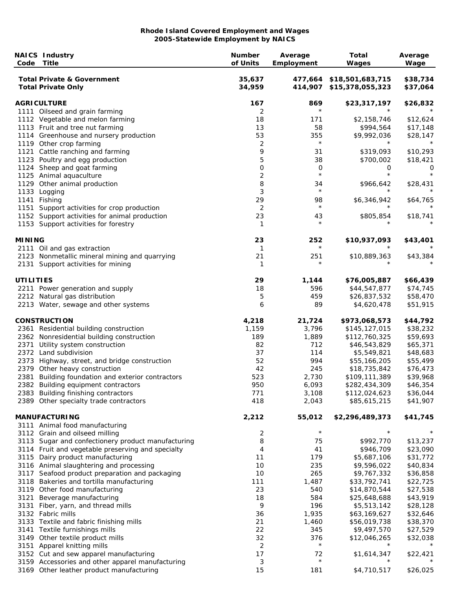| Code             | <b>NAICS Industry</b><br><b>Title</b>                              | <b>Number</b><br>of Units | Average<br>Employment | <b>Total</b><br>Wages                                | Average<br>Wage      |
|------------------|--------------------------------------------------------------------|---------------------------|-----------------------|------------------------------------------------------|----------------------|
|                  | <b>Total Private &amp; Government</b><br><b>Total Private Only</b> | 35,637<br>34,959          |                       | 477,664 \$18,501,683,715<br>414,907 \$15,378,055,323 | \$38,734<br>\$37,064 |
|                  | <b>AGRICULTURE</b>                                                 | 167                       | 869                   | \$23,317,197                                         | \$26,832             |
|                  | 1111 Oilseed and grain farming                                     | 2                         | $^\star$              |                                                      |                      |
|                  | 1112 Vegetable and melon farming                                   | 18                        | 171                   | \$2,158,746                                          | \$12,624             |
|                  | 1113 Fruit and tree nut farming                                    | 13                        | 58                    | \$994,564                                            | \$17,148             |
|                  | 1114 Greenhouse and nursery production                             | 53                        | 355<br>$\star$        | \$9,992,036<br>$^\star$                              | \$28,147             |
|                  | 1119 Other crop farming                                            | 2                         |                       |                                                      |                      |
|                  | 1121 Cattle ranching and farming                                   | 9                         | 31                    | \$319,093                                            | \$10,293             |
|                  | 1123 Poultry and egg production                                    | 5                         | 38                    | \$700,002                                            | \$18,421             |
|                  | 1124 Sheep and goat farming                                        | 0<br>$\overline{c}$       | 0<br>$\star$          | 0<br>$\star$                                         | 0<br>$\star$         |
|                  | 1125 Animal aquaculture<br>1129 Other animal production            | 8                         | 34                    |                                                      | \$28,431             |
|                  | 1133 Logging                                                       | 3                         | $\star$               | \$966,642                                            |                      |
|                  | 1141 Fishing                                                       | 29                        | 98                    | \$6,346,942                                          | \$64,765             |
|                  | 1151 Support activities for crop production                        | 2                         | $^\star$              |                                                      |                      |
|                  | 1152 Support activities for animal production                      | 23                        | 43                    | \$805,854                                            | \$18,741             |
|                  | 1153 Support activities for forestry                               | -1                        | $\star$               |                                                      |                      |
| <b>MINING</b>    |                                                                    | 23                        | 252                   | \$10,937,093                                         | \$43,401             |
|                  | 2111 Oil and gas extraction                                        | 1                         | $^\star$              | $^\star$                                             |                      |
|                  | 2123 Nonmetallic mineral mining and quarrying                      | 21                        | 251                   | \$10,889,363                                         | \$43,384             |
|                  | 2131 Support activities for mining                                 | 1                         | $\star$               |                                                      |                      |
| <b>UTILITIES</b> |                                                                    | 29                        | 1,144                 | \$76,005,887                                         | \$66,439             |
|                  | 2211 Power generation and supply                                   | 18                        | 596                   | \$44,547,877                                         | \$74,745             |
|                  | 2212 Natural gas distribution                                      | 5                         | 459                   | \$26,837,532                                         | \$58,470             |
|                  | 2213 Water, sewage and other systems                               | 6                         | 89                    | \$4,620,478                                          | \$51,915             |
|                  | <b>CONSTRUCTION</b>                                                | 4,218                     | 21,724                | \$973,068,573                                        | \$44,792             |
|                  | 2361 Residential building construction                             | 1,159                     | 3,796                 | \$145,127,015                                        | \$38,232             |
|                  | 2362 Nonresidential building construction                          | 189                       | 1,889                 | \$112,760,325                                        | \$59,693             |
|                  | 2371 Utility system construction                                   | 82                        | 712                   | \$46,543,829                                         | \$65,371             |
|                  | 2372 Land subdivision                                              | 37                        | 114                   | \$5,549,821                                          | \$48,683             |
|                  | 2373 Highway, street, and bridge construction                      | 52                        | 994                   | \$55,166,205                                         | \$55,499             |
|                  | 2379 Other heavy construction                                      | 42                        | 245                   | \$18,735,842                                         | \$76,473             |
|                  | 2381 Building foundation and exterior contractors                  | 523                       | 2,730                 | \$109,111,389                                        | \$39,968             |
|                  | 2382 Building equipment contractors                                | 950                       | 6,093                 | \$282,434,309                                        | \$46,354             |
|                  | 2383 Building finishing contractors                                | 771                       | 3,108                 | \$112,024,623                                        | \$36,044             |
|                  | 2389 Other specialty trade contractors                             | 418                       | 2,043                 | \$85,615,215                                         | \$41,907             |
|                  | <b>MANUFACTURING</b>                                               | 2,212                     | 55,012                | \$2,296,489,373                                      | \$41,745             |
|                  | 3111 Animal food manufacturing                                     |                           |                       |                                                      |                      |
|                  | 3112 Grain and oilseed milling                                     | 2                         | $\star$               | $\star$                                              | $^\star$             |
|                  | 3113 Sugar and confectionery product manufacturing                 | 8                         | 75                    | \$992,770                                            | \$13,237             |
|                  | 3114 Fruit and vegetable preserving and specialty                  | 4                         | 41                    | \$946,709                                            | \$23,090             |
|                  | 3115 Dairy product manufacturing                                   | 11                        | 179                   | \$5,687,106                                          | \$31,772             |
|                  | 3116 Animal slaughtering and processing                            | 10                        | 235                   | \$9,596,022                                          | \$40,834             |
|                  | 3117 Seafood product preparation and packaging                     | 10                        | 265                   | \$9,767,332                                          | \$36,858             |
|                  | 3118 Bakeries and tortilla manufacturing                           | 111                       | 1,487                 | \$33,792,741                                         | \$22,725             |
|                  | 3119 Other food manufacturing                                      | 23                        | 540                   | \$14,870,544                                         | \$27,538             |
|                  | 3121 Beverage manufacturing                                        | 18                        | 584                   | \$25,648,688                                         | \$43,919             |
|                  | 3131 Fiber, yarn, and thread mills                                 | 9                         | 196                   | \$5,513,142                                          | \$28,128             |
|                  | 3132 Fabric mills                                                  | 36                        | 1,935                 | \$63,169,627                                         | \$32,646             |
|                  | 3133 Textile and fabric finishing mills                            | 21                        | 1,460                 | \$56,019,738                                         | \$38,370             |
|                  | 3141 Textile furnishings mills                                     | 22                        | 345                   | \$9,497,570                                          | \$27,529             |
|                  | 3149 Other textile product mills                                   | 32                        | 376                   | \$12,046,265                                         | \$32,038             |
|                  | 3151 Apparel knitting mills                                        | 2                         | $\star$               | $^\star$                                             |                      |
|                  | 3152 Cut and sew apparel manufacturing                             | 17                        | 72                    | \$1,614,347                                          | \$22,421             |
|                  | 3159 Accessories and other apparel manufacturing                   | 3                         | $\star$               |                                                      |                      |
|                  | 3169 Other leather product manufacturing                           | 15                        | 181                   | \$4,710,517                                          | \$26,025             |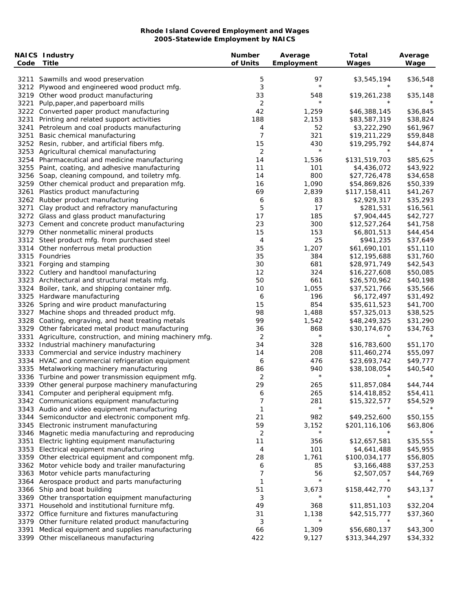| Code | <b>NAICS Industry</b><br><b>Title</b>                                                         | <b>Number</b><br>of Units | Average<br>Employment | <b>Total</b><br>Wages    | Average<br>Wage |
|------|-----------------------------------------------------------------------------------------------|---------------------------|-----------------------|--------------------------|-----------------|
|      | 3211 Sawmills and wood preservation                                                           | 5                         | 97                    | \$3,545,194              | \$36,548        |
|      | 3212 Plywood and engineered wood product mfg.                                                 | 3                         | $\star$               | $^\star$                 |                 |
|      | 3219 Other wood product manufacturing                                                         | 33                        | 548                   | \$19,261,238             | \$35,148        |
| 3221 | Pulp, paper, and paperboard mills                                                             | 2                         | $\star$               |                          |                 |
|      | 3222 Converted paper product manufacturing                                                    | 42                        | 1,259                 | \$46,388,145             | \$36,845        |
|      | 3231 Printing and related support activities                                                  | 188                       | 2,153                 | \$83,587,319             | \$38,824        |
|      | 3241 Petroleum and coal products manufacturing                                                | 4                         | 52                    | \$3,222,290              | \$61,967        |
|      | 3251 Basic chemical manufacturing                                                             | $\overline{7}$            | 321                   | \$19,211,229             | \$59,848        |
|      | 3252 Resin, rubber, and artificial fibers mfg.                                                | 15                        | 430                   | \$19,295,792             | \$44,874        |
|      | 3253 Agricultural chemical manufacturing                                                      | 2                         | $\star$               | $^\star$                 |                 |
|      | 3254 Pharmaceutical and medicine manufacturing                                                | 14                        | 1,536                 | \$131,519,703            | \$85,625        |
|      | 3255 Paint, coating, and adhesive manufacturing                                               | 11                        | 101                   | \$4,436,072              | \$43,922        |
|      | 3256 Soap, cleaning compound, and toiletry mfg.                                               | 14                        | 800                   | \$27,726,478             | \$34,658        |
|      | 3259 Other chemical product and preparation mfg.                                              | 16                        | 1,090                 | \$54,869,826             | \$50,339        |
|      | 3261 Plastics product manufacturing                                                           | 69                        | 2,839                 | \$117,158,411            | \$41,267        |
|      | 3262 Rubber product manufacturing                                                             | 6                         | 83                    | \$2,929,317              | \$35,293        |
|      | 3271 Clay product and refractory manufacturing                                                | 5                         | 17                    | \$281,531                | \$16,561        |
|      | 3272 Glass and glass product manufacturing                                                    | 17                        | 185                   | \$7,904,445              | \$42,727        |
|      | 3273 Cement and concrete product manufacturing                                                | 23                        | 300                   | \$12,527,264             | \$41,758        |
|      | 3279 Other nonmetallic mineral products                                                       | 15                        | 153                   | \$6,801,513              | \$44,454        |
|      | 3312 Steel product mfg. from purchased steel                                                  | 4                         | 25                    | \$941,235                | \$37,649        |
|      | 3314 Other nonferrous metal production                                                        | 35                        | 1,207                 | \$61,690,101             | \$51,110        |
|      | 3315 Foundries                                                                                | 35                        | 384                   | \$12,195,688             | \$31,760        |
|      | 3321 Forging and stamping                                                                     | 30                        | 681                   | \$28,971,749             | \$42,543        |
|      | 3322 Cutlery and handtool manufacturing                                                       | 12                        | 324                   | \$16,227,608             | \$50,085        |
|      | 3323 Architectural and structural metals mfg.                                                 | 50                        | 661                   | \$26,570,962             | \$40,198        |
|      | 3324 Boiler, tank, and shipping container mfg.                                                | 10                        | 1,055                 | \$37,521,766             | \$35,566        |
|      | 3325 Hardware manufacturing                                                                   | 6                         | 196                   | \$6,172,497              | \$31,492        |
|      | 3326 Spring and wire product manufacturing                                                    | 15                        | 854                   | \$35,611,523             | \$41,700        |
| 3327 | Machine shops and threaded product mfg.                                                       | 98                        | 1,488                 | \$57,325,013             | \$38,525        |
| 3328 | Coating, engraving, and heat treating metals                                                  | 99                        | 1,542                 | \$48,249,325             | \$31,290        |
|      | 3329 Other fabricated metal product manufacturing                                             | 36                        | 868                   | \$30,174,670             | \$34,763        |
| 3331 | Agriculture, construction, and mining machinery mfg.                                          | 2                         | $\star$               | $\star$                  |                 |
|      | 3332 Industrial machinery manufacturing                                                       | 34                        | 328                   | \$16,783,600             | \$51,170        |
|      | 3333 Commercial and service industry machinery                                                | 14                        | 208                   | \$11,460,274             | \$55,097        |
|      | 3334 HVAC and commercial refrigeration equipment                                              | 6                         | 476                   | \$23,693,742             | \$49,777        |
|      | 3335 Metalworking machinery manufacturing                                                     | 86                        | 940                   | \$38,108,054             | \$40,540        |
|      | 3336 Turbine and power transmission equipment mfg.                                            | 2                         | $\star$               | $^\star$                 |                 |
|      | 3339 Other general purpose machinery manufacturing                                            | 29                        | 265                   | \$11,857,084             | \$44,744        |
|      | 3341 Computer and peripheral equipment mfg.                                                   | 6                         | 265                   | \$14,418,852             | \$54,411        |
|      | 3342 Communications equipment manufacturing                                                   | 7                         | 281                   | \$15,322,577             | \$54,529        |
|      | 3343 Audio and video equipment manufacturing                                                  | 1                         | $\star$               |                          |                 |
|      | 3344 Semiconductor and electronic component mfg.                                              | 21                        | 982                   | \$49,252,600             | \$50,155        |
| 3345 | Electronic instrument manufacturing                                                           | 59                        | 3,152                 | \$201,116,106            | \$63,806        |
| 3346 | Magnetic media manufacturing and reproducing                                                  | 2                         | $\star$               | $^\star$                 |                 |
| 3351 | Electric lighting equipment manufacturing                                                     | 11                        | 356                   | \$12,657,581             | \$35,555        |
|      | 3353 Electrical equipment manufacturing                                                       | 4                         | 101                   | \$4,641,488              | \$45,955        |
|      | 3359 Other electrical equipment and component mfg.                                            | 28                        | 1,761                 | \$100,034,177            | \$56,805        |
|      | 3362 Motor vehicle body and trailer manufacturing                                             | 6                         | 85                    | \$3,166,488              | \$37,253        |
| 3363 | Motor vehicle parts manufacturing                                                             | 7                         | 56                    | \$2,507,057              | \$44,769        |
|      | 3364 Aerospace product and parts manufacturing                                                | 1                         | $\star$               |                          |                 |
|      | 3366 Ship and boat building                                                                   | 51                        | 3,673                 | \$158,442,770            | \$43,137        |
|      | 3369 Other transportation equipment manufacturing                                             | 3                         | $^\star$              |                          |                 |
| 3371 | Household and institutional furniture mfg.                                                    | 49                        | 368                   | \$11,851,103             | \$32,204        |
|      |                                                                                               |                           |                       |                          | \$37,360        |
| 3379 |                                                                                               |                           |                       |                          |                 |
|      | 3372 Office furniture and fixtures manufacturing                                              | 31                        | 1,138<br>$\star$      | \$42,515,777<br>$^\star$ |                 |
| 3391 | Other furniture related product manufacturing<br>Medical equipment and supplies manufacturing | 3<br>66                   | 1,309                 | \$56,680,137             | \$43,300        |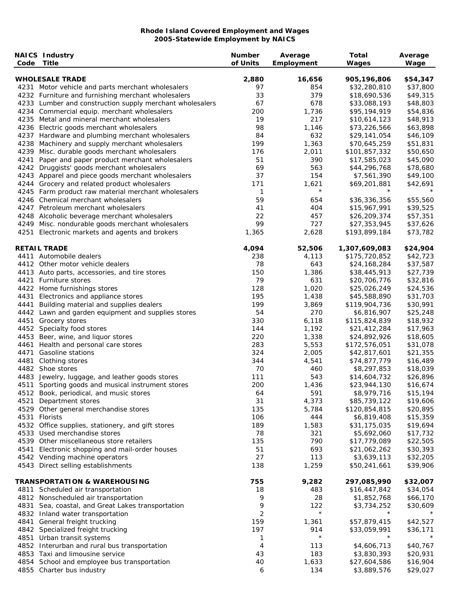| Code | <b>NAICS Industry</b><br>Title                           | <b>Number</b><br>of Units | Average<br><b>Employment</b> | <b>Total</b><br>Wages | Average<br>Wage |
|------|----------------------------------------------------------|---------------------------|------------------------------|-----------------------|-----------------|
|      | <b>WHOLESALE TRADE</b>                                   | 2,880                     | 16,656                       | 905,196,806           | \$54,347        |
|      | 4231 Motor vehicle and parts merchant wholesalers        | 97                        | 854                          | \$32,280,810          | \$37,800        |
|      | 4232 Furniture and furnishing merchant wholesalers       | 33                        | 379                          | \$18,690,536          | \$49,315        |
|      | 4233 Lumber and construction supply merchant wholesalers | 67                        | 678                          | \$33,088,193          | \$48,803        |
|      | 4234 Commercial equip. merchant wholesalers              | 200                       | 1,736                        | \$95,194,919          | \$54,836        |
|      | 4235 Metal and mineral merchant wholesalers              | 19                        | 217                          | \$10,614,123          | \$48,913        |
|      | 4236 Electric goods merchant wholesalers                 | 98                        | 1,146                        | \$73,226,566          | \$63,898        |
|      |                                                          | 84                        | 632                          |                       |                 |
|      | 4237 Hardware and plumbing merchant wholesalers          | 199                       |                              | \$29,141,054          | \$46,109        |
|      | 4238 Machinery and supply merchant wholesalers           |                           | 1,363                        | \$70,645,259          | \$51,831        |
|      | 4239 Misc. durable goods merchant wholesalers            | 176                       | 2,011                        | \$101,857,332         | \$50,650        |
| 4241 | Paper and paper product merchant wholesalers             | 51                        | 390                          | \$17,585,023          | \$45,090        |
| 4242 | Druggists' goods merchant wholesalers                    | 69                        | 563                          | \$44,296,768          | \$78,680        |
|      | 4243 Apparel and piece goods merchant wholesalers        | 37                        | 154                          | \$7,561,390           | \$49,100        |
|      | 4244 Grocery and related product wholesalers             | 171                       | 1,621                        | \$69,201,881          | \$42,691        |
|      | 4245 Farm product raw material merchant wholesalers      | 1                         | $\star$                      | $^\star$              |                 |
|      | 4246 Chemical merchant wholesalers                       | 59                        | 654                          | \$36,336,356          | \$55,560        |
|      | 4247 Petroleum merchant wholesalers                      | 41                        | 404                          | \$15,967,991          | \$39,525        |
|      | 4248 Alcoholic beverage merchant wholesalers             | 22                        | 457                          | \$26,209,374          | \$57,351        |
|      | 4249 Misc. nondurable goods merchant wholesalers         | 99                        | 727                          | \$27,353,945          | \$37,626        |
| 4251 | Electronic markets and agents and brokers                | 1,365                     | 2,628                        | \$193,899,184         | \$73,782        |
|      | <b>RETAIL TRADE</b>                                      | 4,094                     | 52,506                       | 1,307,609,083         | \$24,904        |
|      | 4411 Automobile dealers                                  | 238                       | 4,113                        | \$175,720,852         | \$42,723        |
|      | 4412 Other motor vehicle dealers                         | 78                        | 643                          | \$24,168,284          | \$37,587        |
|      | 4413 Auto parts, accessories, and tire stores            | 150                       | 1,386                        | \$38,445,913          | \$27,739        |
|      | 4421 Furniture stores                                    | 79                        | 631                          | \$20,706,776          | \$32,816        |
|      | 4422 Home furnishings stores                             | 128                       | 1,020                        | \$25,026,249          | \$24,536        |
|      | 4431 Electronics and appliance stores                    | 195                       | 1,438                        | \$45,588,890          | \$31,703        |
| 4441 | Building material and supplies dealers                   | 199                       | 3,869                        | \$119,904,736         | \$30,991        |
|      | 4442 Lawn and garden equipment and supplies stores       | 54                        | 270                          | \$6,816,907           | \$25,248        |
|      | 4451 Grocery stores                                      | 330                       | 6,118                        | \$115,824,839         | \$18,932        |
|      | 4452 Specialty food stores                               | 144                       | 1,192                        | \$21,412,284          | \$17,963        |
|      | 4453 Beer, wine, and liquor stores                       | 220                       | 1,338                        | \$24,892,926          | \$18,605        |
|      | 4461 Health and personal care stores                     | 283                       | 5,553                        | \$172,576,051         | \$31,078        |
| 4471 | <b>Gasoline stations</b>                                 | 324                       | 2,005                        | \$42,817,601          | \$21,355        |
|      | 4481 Clothing stores                                     | 344                       | 4,541                        | \$74,877,779          | \$16,489        |
|      | 4482 Shoe stores                                         | 70                        | 460                          | \$8,297,853           | \$18,039        |
|      | 4483 Jewelry, luggage, and leather goods stores          | 111                       | 543                          | \$14,604,732          | \$26,896        |
|      | 4511 Sporting goods and musical instrument stores        | 200                       | 1,436                        | \$23,944,130          | \$16,674        |
|      | 4512 Book, periodical, and music stores                  | 64                        | 591                          | \$8,979,716           | \$15,194        |
| 4521 | Department stores                                        | 31                        | 4,373                        | \$85,739,122          | \$19,606        |
|      | 4529 Other general merchandise stores                    | 135                       | 5,784                        | \$120,854,815         | \$20,895        |
|      | 4531 Florists                                            | 106                       | 444                          | \$6,819,408           | \$15,359        |
|      |                                                          |                           |                              |                       |                 |
|      | 4532 Office supplies, stationery, and gift stores        | 189                       | 1,583                        | \$31,175,035          | \$19,694        |
|      | 4533 Used merchandise stores                             | 78                        | 321                          | \$5,692,060           | \$17,732        |
|      | 4539 Other miscellaneous store retailers                 | 135                       | 790                          | \$17,779,089          | \$22,505        |
|      | 4541 Electronic shopping and mail-order houses           | 51                        | 693                          | \$21,062,262          | \$30,393        |
|      | 4542 Vending machine operators                           | 27                        | 113                          | \$3,639,113           | \$32,205        |
|      | 4543 Direct selling establishments                       | 138                       | 1,259                        | \$50,241,661          | \$39,906        |
|      | <b>TRANSPORTATION &amp; WAREHOUSING</b>                  | 755                       | 9,282                        | 297,085,990           | \$32,007        |
|      | 4811 Scheduled air transportation                        | 18                        | 483                          | \$16,447,842          | \$34,054        |
|      | 4812 Nonscheduled air transportation                     | 9                         | 28                           | \$1,852,768           | \$66,170        |
|      | 4831 Sea, coastal, and Great Lakes transportation        | 9                         | 122                          | \$3,734,252           | \$30,609        |
|      | 4832 Inland water transportation                         | 2                         | $\star$                      | $^\star$              |                 |
|      | 4841 General freight trucking                            | 159                       | 1,361                        | \$57,879,415          | \$42,527        |
|      | 4842 Specialized freight trucking                        | 197                       | 914                          | \$33,059,991          | \$36,171        |
|      | 4851 Urban transit systems                               | 1                         | $\star$                      | $\star$               |                 |
|      | 4852 Interurban and rural bus transportation             | 4                         | 113                          | \$4,606,713           | \$40,767        |
|      | 4853 Taxi and limousine service                          | 43                        | 183                          | \$3,830,393           | \$20,931        |
|      | 4854 School and employee bus transportation              | 40                        | 1,633                        | \$27,604,586          | \$16,904        |
|      | 4855 Charter bus industry                                | 6                         | 134                          | \$3,889,576           | \$29,027        |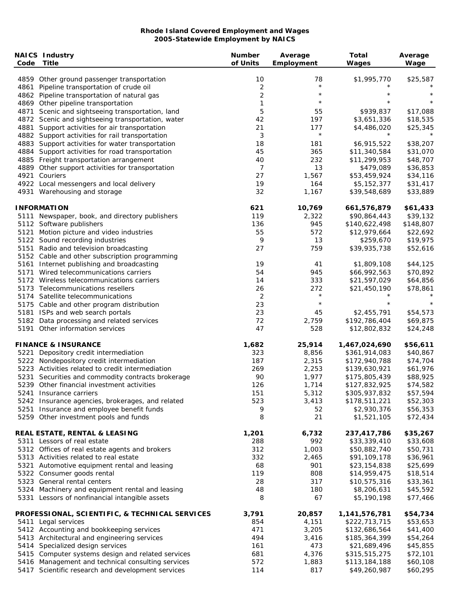| Code | <b>NAICS Industry</b><br><b>Title</b>                                        | <b>Number</b><br>of Units | Average<br>Employment | <b>Total</b><br>Wages         | Average<br>Wage      |
|------|------------------------------------------------------------------------------|---------------------------|-----------------------|-------------------------------|----------------------|
|      | 4859 Other ground passenger transportation                                   | 10                        | 78                    | \$1,995,770                   | \$25,587             |
|      | 4861 Pipeline transportation of crude oil                                    | 2                         | $\star$               | $^\star$                      |                      |
|      | 4862 Pipeline transportation of natural gas                                  | $\mathbf 2$               | $\star$               | $^\star$                      | $^\star$             |
|      | 4869 Other pipeline transportation                                           | 1                         | $\star$               | $\star$                       | $\star$              |
| 4871 | Scenic and sightseeing transportation, land                                  | 5                         | 55                    | \$939,837                     | \$17,088             |
|      | 4872 Scenic and sightseeing transportation, water                            | 42                        | 197                   | \$3,651,336                   | \$18,535             |
|      | 4881 Support activities for air transportation                               | 21                        | 177                   | \$4,486,020                   | \$25,345             |
|      | 4882 Support activities for rail transportation                              | 3                         | $\star$               | $^\star$                      |                      |
|      | 4883 Support activities for water transportation                             | 18                        | 181                   | \$6,915,522                   | \$38,207             |
|      | 4884 Support activities for road transportation                              | 45                        | 365                   | \$11,340,584                  | \$31,070             |
|      | 4885 Freight transportation arrangement                                      | 40                        | 232                   | \$11,299,953                  | \$48,707             |
|      | 4889 Other support activities for transportation                             | 7                         | 13                    | \$479,089                     | \$36,853             |
| 4921 | Couriers                                                                     | 27                        | 1,567                 | \$53,459,924                  | \$34,116             |
|      | 4922 Local messengers and local delivery                                     | 19                        | 164                   | \$5,152,377                   | \$31,417             |
|      | 4931 Warehousing and storage                                                 | 32                        | 1,167                 | \$39,548,689                  | \$33,889             |
|      | <b>INFORMATION</b>                                                           | 621                       | 10,769                | 661,576,879                   | \$61,433             |
|      | 5111 Newspaper, book, and directory publishers                               | 119                       | 2,322                 | \$90,864,443                  | \$39,132             |
|      | 5112 Software publishers                                                     | 136                       | 945                   | \$140,622,498                 | \$148,807            |
|      | 5121 Motion picture and video industries                                     | 55                        | 572                   | \$12,979,664                  | \$22,692             |
|      | 5122 Sound recording industries                                              | 9                         | 13                    | \$259,670                     | \$19,975             |
|      | 5151 Radio and television broadcasting                                       | 27                        | 759                   | \$39,935,738                  | \$52,616             |
|      | 5152 Cable and other subscription programming                                |                           |                       |                               |                      |
|      | 5161 Internet publishing and broadcasting                                    | 19                        | 41                    | \$1,809,108                   | \$44,125             |
|      | 5171 Wired telecommunications carriers                                       | 54                        | 945                   | \$66,992,563                  | \$70,892             |
|      | 5172 Wireless telecommunications carriers                                    | 14                        | 333                   | \$21,597,029                  | \$64,856             |
|      | 5173 Telecommunications resellers                                            | 26                        | 272                   | \$21,450,190                  | \$78,861             |
|      | 5174 Satellite telecommunications                                            | 2                         | $\star$               | $^\star$                      |                      |
|      | 5175 Cable and other program distribution                                    | 23                        | $\star$               | $\star$                       | $\star$              |
|      | 5181 ISPs and web search portals                                             | 23                        | 45                    | \$2,455,791                   | \$54,573             |
|      | 5182 Data processing and related services<br>5191 Other information services | 72<br>47                  | 2,759<br>528          | \$192,786,404<br>\$12,802,832 | \$69,875<br>\$24,248 |
|      | <b>FINANCE &amp; INSURANCE</b>                                               | 1,682                     | 25,914                | 1,467,024,690                 | \$56,611             |
|      | 5221 Depository credit intermediation                                        | 323                       | 8,856                 | \$361,914,083                 | \$40,867             |
|      | 5222 Nondepository credit intermediation                                     | 187                       | 2,315                 | \$172,940,788                 | \$74,704             |
|      | 5223 Activities related to credit intermediation                             | 269                       | 2,253                 | \$139,630,921                 | \$61,976             |
|      | 5231 Securities and commodity contracts brokerage                            | 90                        | 1,977                 | \$175,805,439                 | \$88,925             |
|      | 5239 Other financial investment activities                                   | 126                       | 1,714                 | \$127,832,925                 | \$74,582             |
|      | 5241 Insurance carriers                                                      | 151                       | 5,312                 | \$305,937,832                 | \$57,594             |
|      | 5242 Insurance agencies, brokerages, and related                             | 523                       | 3,413                 | \$178,511,221                 | \$52,303             |
|      | 5251 Insurance and employee benefit funds                                    | 9                         | 52                    | \$2,930,376                   | \$56,353             |
|      | 5259 Other investment pools and funds                                        | 8                         | 21                    | \$1,521,105                   | \$72,434             |
|      | <b>REAL ESTATE, RENTAL &amp; LEASING</b>                                     | 1,201                     | 6,732                 | 237,417,786                   | \$35,267             |
|      | 5311 Lessors of real estate                                                  | 288                       | 992                   | \$33,339,410                  | \$33,608             |
|      | 5312 Offices of real estate agents and brokers                               | 312                       | 1,003                 | \$50,882,740                  | \$50,731             |
|      | 5313 Activities related to real estate                                       | 332                       | 2,465                 | \$91,109,178                  | \$36,961             |
|      | 5321 Automotive equipment rental and leasing                                 | 68                        | 901                   | \$23,154,838                  | \$25,699             |
|      | 5322 Consumer goods rental                                                   | 119                       | 808                   | \$14,959,475                  | \$18,514             |
|      | 5323 General rental centers                                                  | 28                        | 317                   | \$10,575,316                  | \$33,361             |
|      | 5324 Machinery and equipment rental and leasing                              | 48                        | 180                   | \$8,206,631                   | \$45,592             |
|      | 5331 Lessors of nonfinancial intangible assets                               | 8                         | 67                    | \$5,190,198                   | \$77,466             |
|      | PROFESSIONAL, SCIENTIFIC, & TECHNICAL SERVICES                               | 3,791                     | 20,857                | 1,141,576,781                 | \$54,734             |
|      | 5411 Legal services                                                          | 854                       | 4,151                 | \$222,713,715                 | \$53,653             |
|      | 5412 Accounting and bookkeeping services                                     | 471                       | 3,205                 | \$132,686,564                 | \$41,400             |
|      | 5413 Architectural and engineering services                                  | 494                       | 3,416                 | \$185,364,399                 | \$54,264             |
|      | 5414 Specialized design services                                             | 161                       | 473                   | \$21,689,496                  | \$45,855             |
|      | 5415 Computer systems design and related services                            | 681                       | 4,376                 | \$315,515,275                 | \$72,101             |
|      | 5416 Management and technical consulting services                            | 572                       | 1,883                 | \$113,184,188                 | \$60,108             |
|      | 5417 Scientific research and development services                            | 114                       | 817                   | \$49,260,987                  | \$60,295             |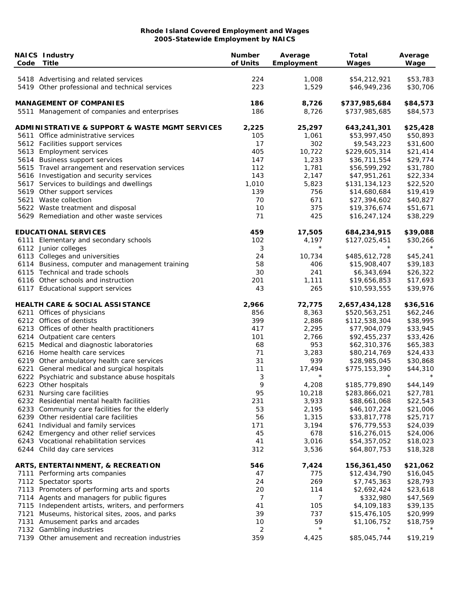| Code | <b>NAICS Industry</b><br><b>Title</b>                                     | <b>Number</b><br>of Units | Average<br>Employment | <b>Total</b><br>Wages         | Average<br>Wage      |
|------|---------------------------------------------------------------------------|---------------------------|-----------------------|-------------------------------|----------------------|
|      | 5418 Advertising and related services                                     | 224                       | 1,008                 | \$54,212,921                  | \$53,783             |
|      | 5419 Other professional and technical services                            | 223                       | 1,529                 | \$46,949,236                  | \$30,706             |
|      | <b>MANAGEMENT OF COMPANIES</b>                                            | 186                       | 8,726                 | \$737,985,684                 | \$84,573             |
|      | 5511 Management of companies and enterprises                              | 186                       | 8,726                 | \$737,985,685                 | \$84,573             |
|      | <b>ADMINISTRATIVE &amp; SUPPORT &amp; WASTE MGMT SERVICES</b>             | 2,225                     | 25,297                | 643,241,301                   | \$25,428             |
|      | 5611 Office administrative services                                       | 105                       | 1,061                 | \$53,997,450                  | \$50,893             |
|      | 5612 Facilities support services                                          | 17                        | 302                   | \$9,543,223                   | \$31,600             |
|      | 5613 Employment services                                                  | 405                       | 10,722                | \$229,605,314                 | \$21,414             |
|      | 5614 Business support services                                            | 147                       | 1,233                 | \$36,711,554                  | \$29,774             |
|      | 5615 Travel arrangement and reservation services                          | 112                       | 1,781                 | \$56,599,292                  | \$31,780             |
|      | 5616 Investigation and security services                                  | 143                       | 2,147                 | \$47,951,261                  | \$22,334             |
|      | 5617 Services to buildings and dwellings                                  | 1,010                     | 5,823                 | \$131,134,123                 | \$22,520             |
|      | 5619 Other support services                                               | 139                       | 756                   | \$14,680,684                  | \$19,419             |
|      | 5621 Waste collection                                                     | 70                        | 671                   | \$27,394,602                  | \$40,827             |
|      | 5622 Waste treatment and disposal                                         | 10                        | 375                   | \$19,376,674                  | \$51,671             |
|      | 5629 Remediation and other waste services                                 | 71                        | 425                   | \$16,247,124                  | \$38,229             |
|      | <b>EDUCATIONAL SERVICES</b>                                               | 459                       | 17,505                | 684,234,915                   | \$39,088             |
|      | 6111 Elementary and secondary schools                                     | 102                       | 4,197                 | \$127,025,451                 | \$30,266             |
|      | 6112 Junior colleges                                                      | 3                         | $\star$               | $^\star$                      |                      |
|      | 6113 Colleges and universities                                            | 24                        | 10,734                | \$485,612,728                 | \$45,241             |
|      | 6114 Business, computer and management training                           | 58                        | 406                   | \$15,908,407                  | \$39,183             |
|      | 6115 Technical and trade schools                                          | 30                        | 241                   | \$6,343,694                   | \$26,322             |
|      | 6116 Other schools and instruction                                        | 201                       | 1,111                 | \$19,656,853                  | \$17,693             |
|      | 6117 Educational support services                                         | 43                        | 265                   | \$10,593,555                  | \$39,976             |
|      | <b>HEALTH CARE &amp; SOCIAL ASSISTANCE</b>                                | 2,966                     | 72,775                | 2,657,434,128                 | \$36,516             |
|      | 6211 Offices of physicians                                                | 856                       | 8,363                 | \$520,563,251                 | \$62,246             |
|      | 6212 Offices of dentists                                                  | 399                       | 2,886                 | \$112,538,304                 | \$38,995             |
|      | 6213 Offices of other health practitioners                                | 417                       | 2,295                 | \$77,904,079                  | \$33,945             |
|      | 6214 Outpatient care centers                                              | 101                       | 2,766                 | \$92,455,237                  | \$33,426             |
|      | 6215 Medical and diagnostic laboratories                                  | 68                        | 953                   | \$62,310,376                  | \$65,383             |
|      | 6216 Home health care services                                            | 71                        | 3,283                 | \$80,214,769                  | \$24,433             |
|      | 6219 Other ambulatory health care services                                | 31                        | 939                   | \$28,985,045                  | \$30,868             |
|      | 6221 General medical and surgical hospitals                               | 11                        | 17,494<br>$^\star$    | \$775,153,390<br>$^\star$     | \$44,310             |
|      | 6222 Psychiatric and substance abuse hospitals                            | 3                         |                       |                               |                      |
|      | 6223 Other hospitals                                                      | 9                         | 4,208                 | \$185,779,890                 | \$44,149             |
|      | 6231 Nursing care facilities<br>6232 Residential mental health facilities | 95<br>231                 | 10,218<br>3,933       | \$283,866,021<br>\$88,661,068 | \$27,781<br>\$22,543 |
|      | 6233 Community care facilities for the elderly                            | 53                        | 2,195                 | \$46,107,224                  | \$21,006             |
|      | 6239 Other residential care facilities                                    | 56                        | 1,315                 | \$33,817,778                  | \$25,717             |
|      | 6241 Individual and family services                                       | 171                       | 3,194                 | \$76,779,553                  | \$24,039             |
|      | 6242 Emergency and other relief services                                  | 45                        | 678                   | \$16,276,015                  | \$24,006             |
|      | 6243 Vocational rehabilitation services                                   | 41                        | 3,016                 | \$54,357,052                  | \$18,023             |
|      | 6244 Child day care services                                              | 312                       | 3,536                 | \$64,807,753                  | \$18,328             |
|      | ARTS, ENTERTAINMENT, & RECREATION                                         | 546                       | 7,424                 | 156,361,450                   | \$21,062             |
|      | 7111 Performing arts companies                                            | 47                        | 775                   | \$12,434,790                  | \$16,045             |
|      | 7112 Spectator sports                                                     | 24                        | 269                   | \$7,745,363                   | \$28,793             |
|      | 7113 Promoters of performing arts and sports                              | 20                        | 114                   | \$2,692,424                   | \$23,618             |
|      | 7114 Agents and managers for public figures                               | 7                         | 7                     | \$332,980                     | \$47,569             |
|      | 7115 Independent artists, writers, and performers                         | 41                        | 105                   | \$4,109,183                   | \$39,135             |
|      | 7121 Museums, historical sites, zoos, and parks                           | 39                        | 737                   | \$15,476,105                  | \$20,999             |
|      | 7131 Amusement parks and arcades                                          | 10                        | 59                    | \$1,106,752                   | \$18,759             |
|      | 7132 Gambling industries                                                  | 2                         | $\star$               | $\star$                       |                      |
|      | 7139 Other amusement and recreation industries                            | 359                       | 4,425                 | \$85,045,744                  | \$19,219             |